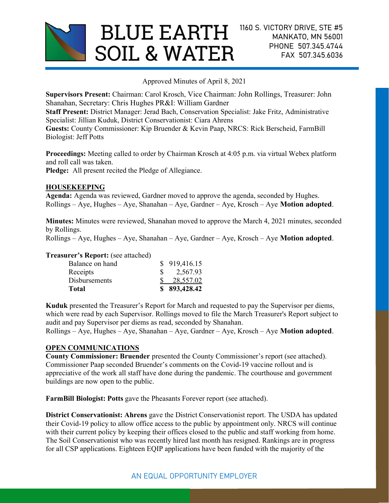

Approved Minutes of April 8, 2021

Supervisors Present: Chairman: Carol Krosch, Vice Chairman: John Rollings, Treasurer: John Shanahan, Secretary: Chris Hughes PR&I: William Gardner

Staff Present: District Manager: Jerad Bach, Conservation Specialist: Jake Fritz, Administrative Specialist: Jillian Kuduk, District Conservationist: Ciara Ahrens

Guests: County Commissioner: Kip Bruender & Kevin Paap, NRCS: Rick Berscheid, FarmBill Biologist: Jeff Potts

Proceedings: Meeting called to order by Chairman Krosch at 4:05 p.m. via virtual Webex platform and roll call was taken.

Pledge: All present recited the Pledge of Allegiance.

## HOUSEKEEPING

Agenda: Agenda was reviewed, Gardner moved to approve the agenda, seconded by Hughes.  $Rollings - Aye$ , Hughes – Aye, Shanahan – Aye, Gardner – Aye, Krosch – Aye **Motion adopted**.

Minutes: Minutes were reviewed, Shanahan moved to approve the March 4, 2021 minutes, seconded by Rollings.

 $Rollings - Ave, Hughes - Ave, Shanahan - Ave, Garden - Ave, Krosch - Ave, Motion adopted.$ 

#### Treasurer's Report: (see attached)

| Total                | \$893,428.42 |
|----------------------|--------------|
| <b>Disbursements</b> | 28,557.02    |
| Receipts             | 2,567.93     |
| Balance on hand      | \$919,416.15 |

Kuduk presented the Treasurer's Report for March and requested to pay the Supervisor per diems, which were read by each Supervisor. Rollings moved to file the March Treasurer's Report subject to audit and pay Supervisor per diems as read, seconded by Shanahan.

Rollings – Aye, Hughes – Aye, Shanahan – Aye, Gardner – Aye, Krosch – Aye Motion adopted.

## OPEN COMMUNICATIONS

County Commissioner: Bruender presented the County Commissioner's report (see attached). Commissioner Paap seconded Bruender's comments on the Covid-19 vaccine rollout and is appreciative of the work all staff have done during the pandemic. The courthouse and government buildings are now open to the public.

FarmBill Biologist: Potts gave the Pheasants Forever report (see attached).

District Conservationist: Ahrens gave the District Conservationist report. The USDA has updated their Covid-19 policy to allow office access to the public by appointment only. NRCS will continue with their current policy by keeping their offices closed to the public and staff working from home. The Soil Conservationist who was recently hired last month has resigned. Rankings are in progress for all CSP applications. Eighteen EQIP applications have been funded with the majority of the

# AN EQUAL OPPORTUNITY EMPLOYER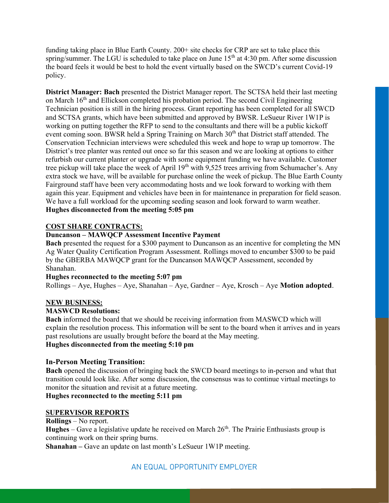funding taking place in Blue Earth County. 200+ site checks for CRP are set to take place this spring/summer. The LGU is scheduled to take place on June  $15<sup>th</sup>$  at 4:30 pm. After some discussion the board feels it would be best to hold the event virtually based on the SWCD's current Covid-19 policy.

District Manager: Bach presented the District Manager report. The SCTSA held their last meeting on March 16<sup>th</sup> and Ellickson completed his probation period. The second Civil Engineering Technician position is still in the hiring process. Grant reporting has been completed for all SWCD and SCTSA grants, which have been submitted and approved by BWSR. LeSueur River 1W1P is working on putting together the RFP to send to the consultants and there will be a public kickoff event coming soon. BWSR held a Spring Training on March 30<sup>th</sup> that District staff attended. The Conservation Technician interviews were scheduled this week and hope to wrap up tomorrow. The District's tree planter was rented out once so far this season and we are looking at options to either refurbish our current planter or upgrade with some equipment funding we have available. Customer tree pickup will take place the week of April  $19<sup>th</sup>$  with 9,525 trees arriving from Schumacher's. Any extra stock we have, will be available for purchase online the week of pickup. The Blue Earth County Fairground staff have been very accommodating hosts and we look forward to working with them again this year. Equipment and vehicles have been in for maintenance in preparation for field season. We have a full workload for the upcoming seeding season and look forward to warm weather. Hughes disconnected from the meeting 5:05 pm

## COST SHARE CONTRACTS:

## Duncanson – MAWQCP Assessment Incentive Payment

Bach presented the request for a \$300 payment to Duncanson as an incentive for completing the MN Ag Water Quality Certification Program Assessment. Rollings moved to encumber \$300 to be paid by the GBERBA MAWQCP grant for the Duncanson MAWQCP Assessment, seconded by Shanahan.

## Hughes reconnected to the meeting 5:07 pm

Rollings – Aye, Hughes – Aye, Shanahan – Aye, Gardner – Aye, Krosch – Aye Motion adopted.

## NEW BUSINESS:

#### MASWCD Resolutions:

Bach informed the board that we should be receiving information from MASWCD which will explain the resolution process. This information will be sent to the board when it arrives and in years past resolutions are usually brought before the board at the May meeting. Hughes disconnected from the meeting 5:10 pm

## In-Person Meeting Transition:

Bach opened the discussion of bringing back the SWCD board meetings to in-person and what that transition could look like. After some discussion, the consensus was to continue virtual meetings to monitor the situation and revisit at a future meeting.

# Hughes reconnected to the meeting 5:11 pm

#### SUPERVISOR REPORTS

Rollings – No report.

**Hughes** – Gave a legislative update he received on March  $26<sup>th</sup>$ . The Prairie Enthusiasts group is continuing work on their spring burns.

Shanahan – Gave an update on last month's LeSueur 1W1P meeting.

## AN EQUAL OPPORTUNITY EMPLOYER